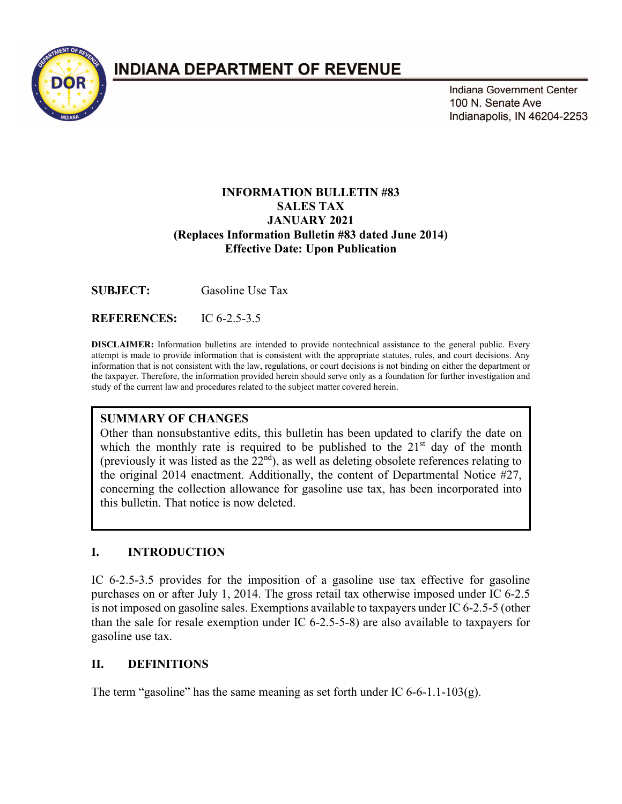

# **INDIANA DEPARTMENT OF REVENUE**

Indiana Government Center 100 N. Senate Ave Indianapolis, IN 46204-2253

#### **INFORMATION BULLETIN #83 SALES TAX JANUARY 2021 (Replaces Information Bulletin #83 dated June 2014) Effective Date: Upon Publication**

**SUBJECT:** Gasoline Use Tax

**REFERENCES:** IC 6-2.5-3.5

**DISCLAIMER:** Information bulletins are intended to provide nontechnical assistance to the general public. Every attempt is made to provide information that is consistent with the appropriate statutes, rules, and court decisions. Any information that is not consistent with the law, regulations, or court decisions is not binding on either the department or the taxpayer. Therefore, the information provided herein should serve only as a foundation for further investigation and study of the current law and procedures related to the subject matter covered herein.

#### **SUMMARY OF CHANGES**

Other than nonsubstantive edits, this bulletin has been updated to clarify the date on which the monthly rate is required to be published to the  $21<sup>st</sup>$  day of the month (previously it was listed as the  $22<sup>nd</sup>$ ), as well as deleting obsolete references relating to the original 2014 enactment. Additionally, the content of Departmental Notice #27, concerning the collection allowance for gasoline use tax, has been incorporated into this bulletin. That notice is now deleted.

#### **I. INTRODUCTION**

IC 6-2.5-3.5 provides for the imposition of a gasoline use tax effective for gasoline purchases on or after July 1, 2014. The gross retail tax otherwise imposed under IC 6-2.5 is not imposed on gasoline sales. Exemptions available to taxpayers under IC 6-2.5-5 (other than the sale for resale exemption under IC 6-2.5-5-8) are also available to taxpayers for gasoline use tax.

#### **II. DEFINITIONS**

The term "gasoline" has the same meaning as set forth under IC 6-6-1.1-103(g).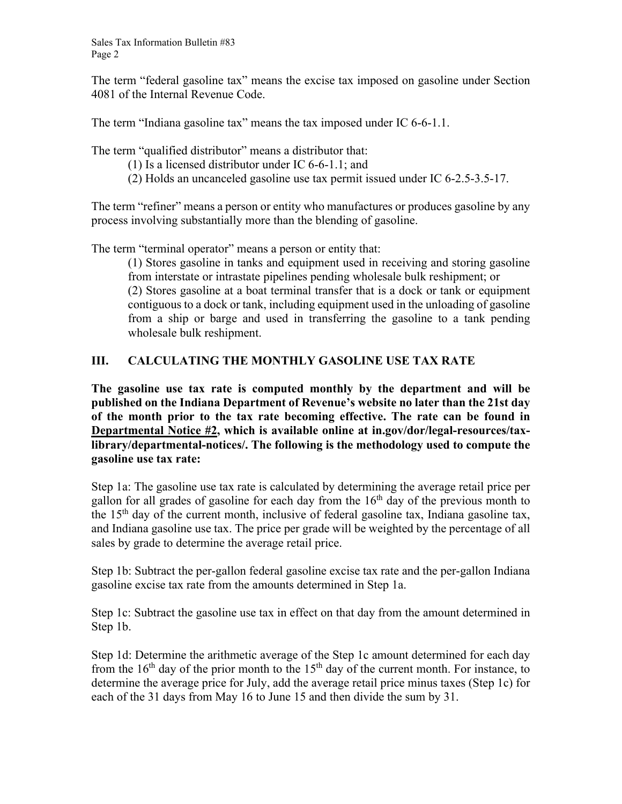Sales Tax Information Bulletin #83 Page 2

The term "federal gasoline tax" means the excise tax imposed on gasoline under Section 4081 of the Internal Revenue Code.

The term "Indiana gasoline tax" means the tax imposed under IC 6-6-1.1.

The term "qualified distributor" means a distributor that:

- (1) Is a licensed distributor under IC 6-6-1.1; and
- (2) Holds an uncanceled gasoline use tax permit issued under IC 6-2.5-3.5-17.

The term "refiner" means a person or entity who manufactures or produces gasoline by any process involving substantially more than the blending of gasoline.

The term "terminal operator" means a person or entity that:

(1) Stores gasoline in tanks and equipment used in receiving and storing gasoline from interstate or intrastate pipelines pending wholesale bulk reshipment; or (2) Stores gasoline at a boat terminal transfer that is a dock or tank or equipment contiguous to a dock or tank, including equipment used in the unloading of gasoline from a ship or barge and used in transferring the gasoline to a tank pending wholesale bulk reshipment.

## **III. CALCULATING THE MONTHLY GASOLINE USE TAX RATE**

**The gasoline use tax rate is computed monthly by the department and will be published on the Indiana Department of Revenue's website no later than the 21st day of the month prior to the tax rate becoming effective. The rate can be found in**  Departmental Notice #2, which is available online at in.gov/dor/legal-resources/tax**library/departmental-notices/. The following is the methodology used to compute the gasoline use tax rate:** 

Step 1a: The gasoline use tax rate is calculated by determining the average retail price per gallon for all grades of gasoline for each day from the  $16<sup>th</sup>$  day of the previous month to the  $15<sup>th</sup>$  day of the current month, inclusive of federal gasoline tax, Indiana gasoline tax, and Indiana gasoline use tax. The price per grade will be weighted by the percentage of all sales by grade to determine the average retail price.

Step 1b: Subtract the per-gallon federal gasoline excise tax rate and the per-gallon Indiana gasoline excise tax rate from the amounts determined in Step 1a.

Step 1c: Subtract the gasoline use tax in effect on that day from the amount determined in Step 1b.

Step 1d: Determine the arithmetic average of the Step 1c amount determined for each day from the  $16<sup>th</sup>$  day of the prior month to the  $15<sup>th</sup>$  day of the current month. For instance, to determine the average price for July, add the average retail price minus taxes (Step 1c) for each of the 31 days from May 16 to June 15 and then divide the sum by 31.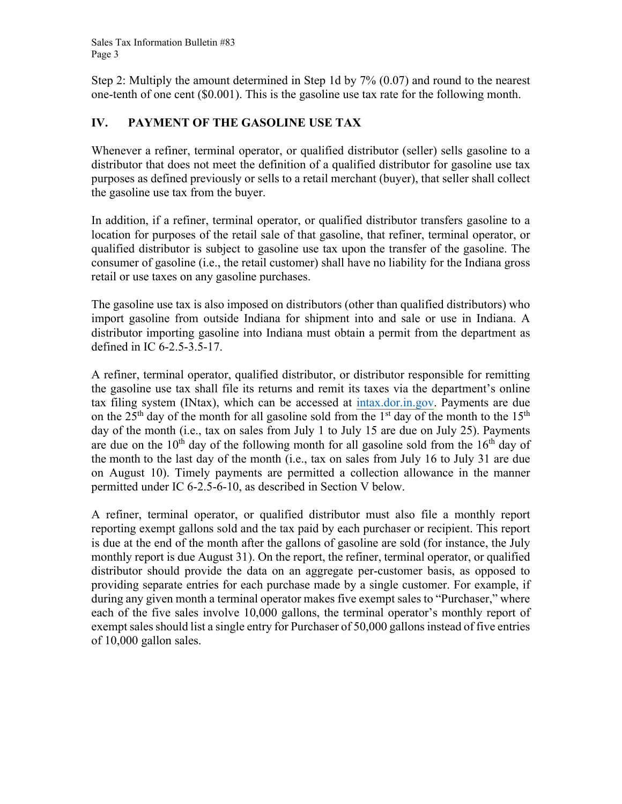Step 2: Multiply the amount determined in Step 1d by 7% (0.07) and round to the nearest one-tenth of one cent (\$0.001). This is the gasoline use tax rate for the following month.

## **IV. PAYMENT OF THE GASOLINE USE TAX**

Whenever a refiner, terminal operator, or qualified distributor (seller) sells gasoline to a distributor that does not meet the definition of a qualified distributor for gasoline use tax purposes as defined previously or sells to a retail merchant (buyer), that seller shall collect the gasoline use tax from the buyer.

In addition, if a refiner, terminal operator, or qualified distributor transfers gasoline to a location for purposes of the retail sale of that gasoline, that refiner, terminal operator, or qualified distributor is subject to gasoline use tax upon the transfer of the gasoline. The consumer of gasoline (i.e., the retail customer) shall have no liability for the Indiana gross retail or use taxes on any gasoline purchases.

The gasoline use tax is also imposed on distributors (other than qualified distributors) who import gasoline from outside Indiana for shipment into and sale or use in Indiana. A distributor importing gasoline into Indiana must obtain a permit from the department as defined in IC 6-2.5-3.5-17.

A refiner, terminal operator, qualified distributor, or distributor responsible for remitting the gasoline use tax shall file its returns and remit its taxes via the department's online tax filing system (INtax), which can be accessed at [intax.dor.in.gov.](http://www.intax.in.gov/) Payments are due on the  $25<sup>th</sup>$  day of the month for all gasoline sold from the 1<sup>st</sup> day of the month to the 15<sup>th</sup> day of the month (i.e., tax on sales from July 1 to July 15 are due on July 25). Payments are due on the  $10<sup>th</sup>$  day of the following month for all gasoline sold from the  $16<sup>th</sup>$  day of the month to the last day of the month (i.e., tax on sales from July 16 to July 31 are due on August 10). Timely payments are permitted a collection allowance in the manner permitted under IC 6-2.5-6-10, as described in Section V below.

A refiner, terminal operator, or qualified distributor must also file a monthly report reporting exempt gallons sold and the tax paid by each purchaser or recipient. This report is due at the end of the month after the gallons of gasoline are sold (for instance, the July monthly report is due August 31). On the report, the refiner, terminal operator, or qualified distributor should provide the data on an aggregate per-customer basis, as opposed to providing separate entries for each purchase made by a single customer. For example, if during any given month a terminal operator makes five exempt sales to "Purchaser," where each of the five sales involve 10,000 gallons, the terminal operator's monthly report of exempt sales should list a single entry for Purchaser of 50,000 gallons instead of five entries of 10,000 gallon sales.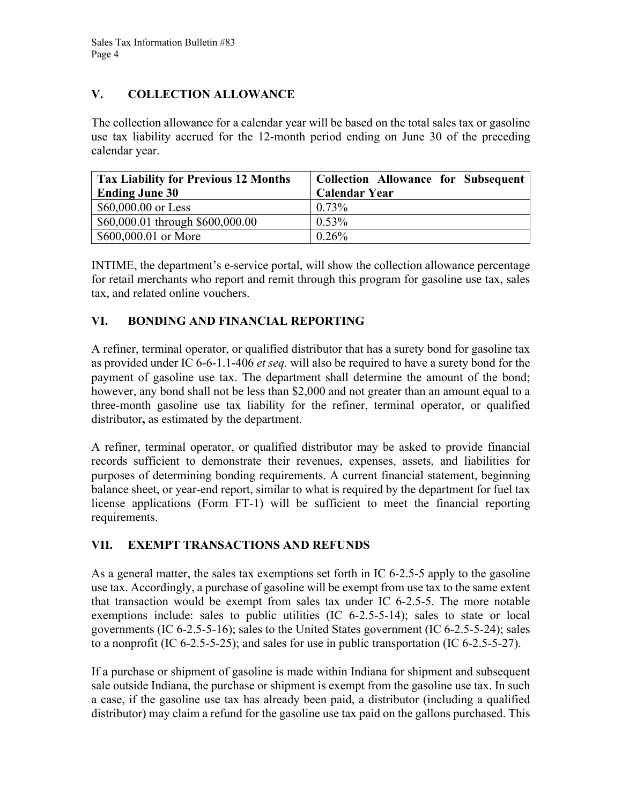## **V. COLLECTION ALLOWANCE**

The collection allowance for a calendar year will be based on the total sales tax or gasoline use tax liability accrued for the 12-month period ending on June 30 of the preceding calendar year.

| <b>Tax Liability for Previous 12 Months</b> | <b>Collection Allowance for Subsequent</b> |
|---------------------------------------------|--------------------------------------------|
| <b>Ending June 30</b>                       | <b>Calendar Year</b>                       |
| $$60,000.00$ or Less                        | $0.73\%$                                   |
| \$60,000.01 through \$600,000.00            | $0.53\%$                                   |
| \$600,000.01 or More                        | $0.26\%$                                   |

INTIME, the department's e-service portal, will show the collection allowance percentage for retail merchants who report and remit through this program for gasoline use tax, sales tax, and related online vouchers.

## **VI. BONDING AND FINANCIAL REPORTING**

A refiner, terminal operator, or qualified distributor that has a surety bond for gasoline tax as provided under IC 6-6-1.1-406 *et seq.* will also be required to have a surety bond for the payment of gasoline use tax. The department shall determine the amount of the bond; however, any bond shall not be less than \$2,000 and not greater than an amount equal to a three-month gasoline use tax liability for the refiner, terminal operator, or qualified distributor**,** as estimated by the department.

A refiner, terminal operator, or qualified distributor may be asked to provide financial records sufficient to demonstrate their revenues, expenses, assets, and liabilities for purposes of determining bonding requirements. A current financial statement, beginning balance sheet, or year-end report, similar to what is required by the department for fuel tax license applications (Form FT-1) will be sufficient to meet the financial reporting requirements.

## **VII. EXEMPT TRANSACTIONS AND REFUNDS**

As a general matter, the sales tax exemptions set forth in IC 6-2.5-5 apply to the gasoline use tax. Accordingly, a purchase of gasoline will be exempt from use tax to the same extent that transaction would be exempt from sales tax under IC 6-2.5-5. The more notable exemptions include: sales to public utilities (IC 6-2.5-5-14); sales to state or local governments (IC 6-2.5-5-16); sales to the United States government (IC 6-2.5-5-24); sales to a nonprofit (IC 6-2.5-5-25); and sales for use in public transportation (IC 6-2.5-5-27).

If a purchase or shipment of gasoline is made within Indiana for shipment and subsequent sale outside Indiana, the purchase or shipment is exempt from the gasoline use tax. In such a case, if the gasoline use tax has already been paid, a distributor (including a qualified distributor) may claim a refund for the gasoline use tax paid on the gallons purchased. This